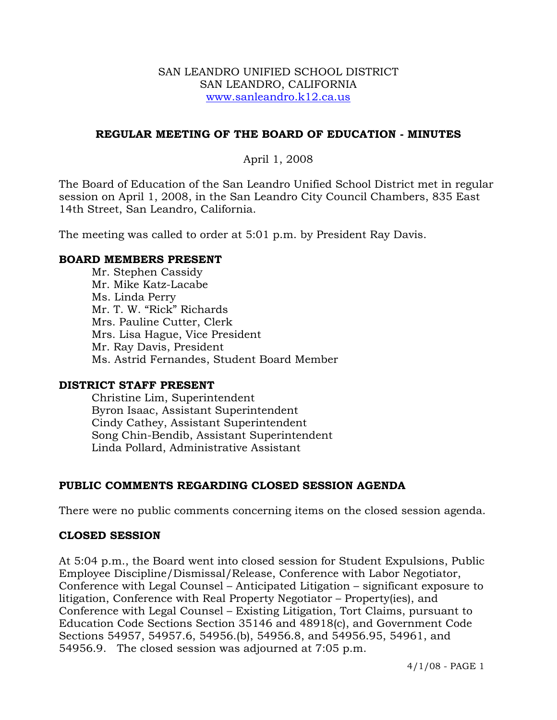#### SAN LEANDRO UNIFIED SCHOOL DISTRICT SAN LEANDRO, CALIFORNIA www.sanleandro.k12.ca.us

### **REGULAR MEETING OF THE BOARD OF EDUCATION - MINUTES**

### April 1, 2008

The Board of Education of the San Leandro Unified School District met in regular session on April 1, 2008, in the San Leandro City Council Chambers, 835 East 14th Street, San Leandro, California.

The meeting was called to order at 5:01 p.m. by President Ray Davis.

#### **BOARD MEMBERS PRESENT**

Mr. Stephen Cassidy Mr. Mike Katz-Lacabe Ms. Linda Perry Mr. T. W. "Rick" Richards Mrs. Pauline Cutter, Clerk Mrs. Lisa Hague, Vice President Mr. Ray Davis, President Ms. Astrid Fernandes, Student Board Member

#### **DISTRICT STAFF PRESENT**

Christine Lim, Superintendent Byron Isaac, Assistant Superintendent Cindy Cathey, Assistant Superintendent Song Chin-Bendib, Assistant Superintendent Linda Pollard, Administrative Assistant

## **PUBLIC COMMENTS REGARDING CLOSED SESSION AGENDA**

There were no public comments concerning items on the closed session agenda.

## **CLOSED SESSION**

At 5:04 p.m., the Board went into closed session for Student Expulsions, Public Employee Discipline/Dismissal/Release, Conference with Labor Negotiator, Conference with Legal Counsel – Anticipated Litigation – significant exposure to litigation, Conference with Real Property Negotiator – Property(ies), and Conference with Legal Counsel – Existing Litigation, Tort Claims, pursuant to Education Code Sections Section 35146 and 48918(c), and Government Code Sections 54957, 54957.6, 54956.(b), 54956.8, and 54956.95, 54961, and 54956.9. The closed session was adjourned at 7:05 p.m.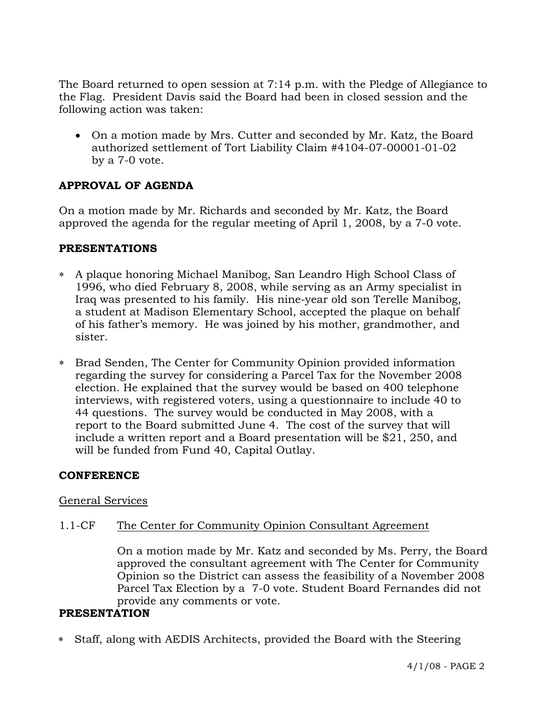The Board returned to open session at 7:14 p.m. with the Pledge of Allegiance to the Flag. President Davis said the Board had been in closed session and the following action was taken:

• On a motion made by Mrs. Cutter and seconded by Mr. Katz, the Board authorized settlement of Tort Liability Claim #4104-07-00001-01-02 by a 7-0 vote.

# **APPROVAL OF AGENDA**

On a motion made by Mr. Richards and seconded by Mr. Katz, the Board approved the agenda for the regular meeting of April 1, 2008, by a 7-0 vote.

## **PRESENTATIONS**

- ∗ A plaque honoring Michael Manibog, San Leandro High School Class of 1996, who died February 8, 2008, while serving as an Army specialist in Iraq was presented to his family. His nine-year old son Terelle Manibog, a student at Madison Elementary School, accepted the plaque on behalf of his father's memory. He was joined by his mother, grandmother, and sister.
- ∗ Brad Senden, The Center for Community Opinion provided information regarding the survey for considering a Parcel Tax for the November 2008 election. He explained that the survey would be based on 400 telephone interviews, with registered voters, using a questionnaire to include 40 to 44 questions. The survey would be conducted in May 2008, with a report to the Board submitted June 4. The cost of the survey that will include a written report and a Board presentation will be \$21, 250, and will be funded from Fund 40, Capital Outlay.

## **CONFERENCE**

## General Services

## 1.1-CF The Center for Community Opinion Consultant Agreement

On a motion made by Mr. Katz and seconded by Ms. Perry, the Board approved the consultant agreement with The Center for Community Opinion so the District can assess the feasibility of a November 2008 Parcel Tax Election by a 7-0 vote. Student Board Fernandes did not provide any comments or vote.

## **PRESENTATION**

∗ Staff, along with AEDIS Architects, provided the Board with the Steering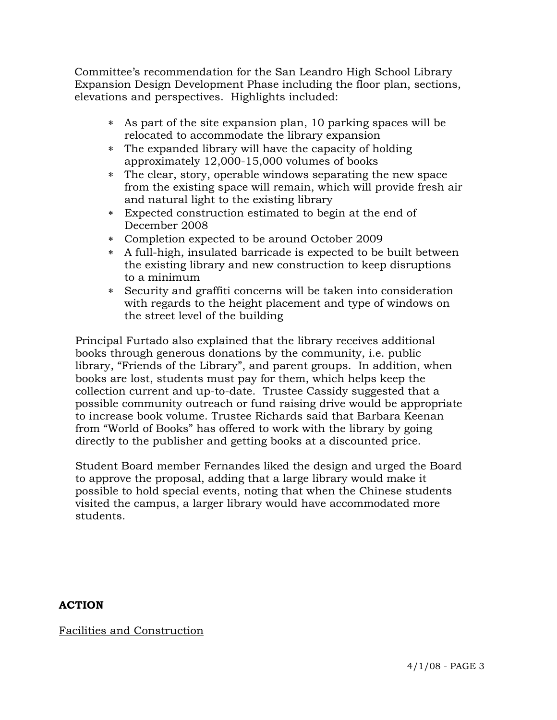Committee's recommendation for the San Leandro High School Library Expansion Design Development Phase including the floor plan, sections, elevations and perspectives. Highlights included:

- ∗ As part of the site expansion plan, 10 parking spaces will be relocated to accommodate the library expansion
- ∗ The expanded library will have the capacity of holding approximately 12,000-15,000 volumes of books
- ∗ The clear, story, operable windows separating the new space from the existing space will remain, which will provide fresh air and natural light to the existing library
- ∗ Expected construction estimated to begin at the end of December 2008
- ∗ Completion expected to be around October 2009
- ∗ A full-high, insulated barricade is expected to be built between the existing library and new construction to keep disruptions to a minimum
- ∗ Security and graffiti concerns will be taken into consideration with regards to the height placement and type of windows on the street level of the building

Principal Furtado also explained that the library receives additional books through generous donations by the community, i.e. public library, "Friends of the Library", and parent groups. In addition, when books are lost, students must pay for them, which helps keep the collection current and up-to-date. Trustee Cassidy suggested that a possible community outreach or fund raising drive would be appropriate to increase book volume. Trustee Richards said that Barbara Keenan from "World of Books" has offered to work with the library by going directly to the publisher and getting books at a discounted price.

Student Board member Fernandes liked the design and urged the Board to approve the proposal, adding that a large library would make it possible to hold special events, noting that when the Chinese students visited the campus, a larger library would have accommodated more students.

# **ACTION**

Facilities and Construction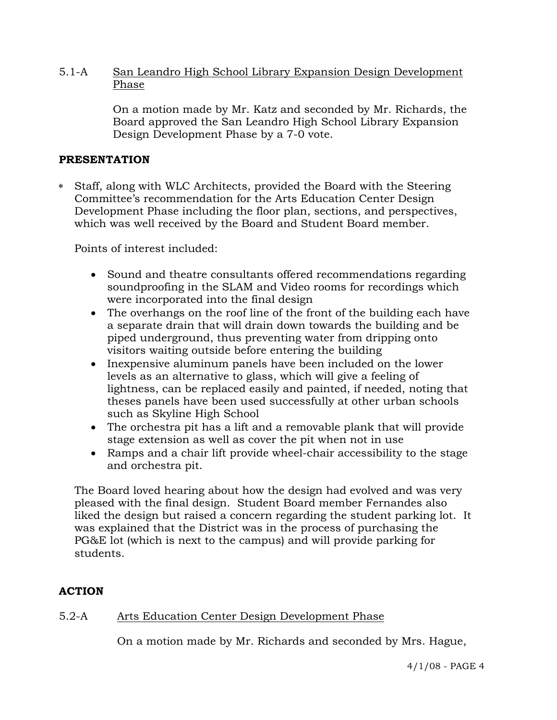### 5.1-A San Leandro High School Library Expansion Design Development Phase

On a motion made by Mr. Katz and seconded by Mr. Richards, the Board approved the San Leandro High School Library Expansion Design Development Phase by a 7-0 vote.

## **PRESENTATION**

∗ Staff, along with WLC Architects, provided the Board with the Steering Committee's recommendation for the Arts Education Center Design Development Phase including the floor plan, sections, and perspectives, which was well received by the Board and Student Board member.

Points of interest included:

- Sound and theatre consultants offered recommendations regarding soundproofing in the SLAM and Video rooms for recordings which were incorporated into the final design
- The overhangs on the roof line of the front of the building each have a separate drain that will drain down towards the building and be piped underground, thus preventing water from dripping onto visitors waiting outside before entering the building
- Inexpensive aluminum panels have been included on the lower levels as an alternative to glass, which will give a feeling of lightness, can be replaced easily and painted, if needed, noting that theses panels have been used successfully at other urban schools such as Skyline High School
- The orchestra pit has a lift and a removable plank that will provide stage extension as well as cover the pit when not in use
- Ramps and a chair lift provide wheel-chair accessibility to the stage and orchestra pit.

The Board loved hearing about how the design had evolved and was very pleased with the final design. Student Board member Fernandes also liked the design but raised a concern regarding the student parking lot. It was explained that the District was in the process of purchasing the PG&E lot (which is next to the campus) and will provide parking for students.

## **ACTION**

## 5.2-A Arts Education Center Design Development Phase

On a motion made by Mr. Richards and seconded by Mrs. Hague,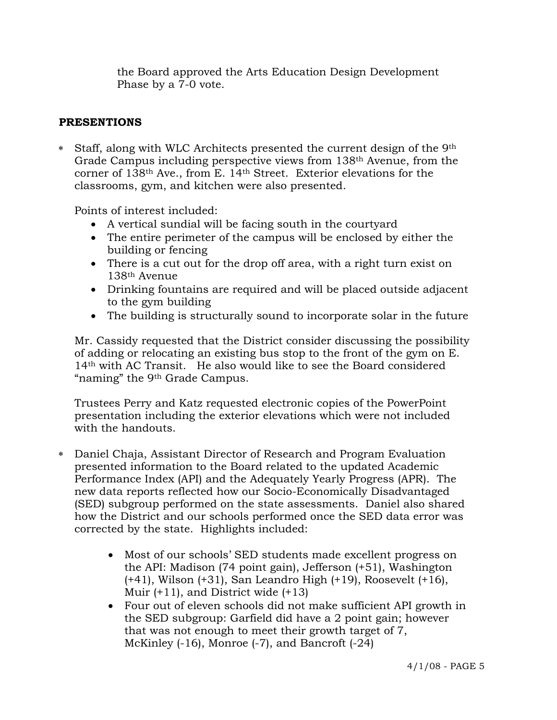the Board approved the Arts Education Design Development Phase by a 7-0 vote.

# **PRESENTIONS**

∗ Staff, along with WLC Architects presented the current design of the 9th Grade Campus including perspective views from 138th Avenue, from the corner of 138th Ave., from E. 14th Street. Exterior elevations for the classrooms, gym, and kitchen were also presented.

Points of interest included:

- A vertical sundial will be facing south in the courtyard
- The entire perimeter of the campus will be enclosed by either the building or fencing
- There is a cut out for the drop off area, with a right turn exist on 138th Avenue
- Drinking fountains are required and will be placed outside adjacent to the gym building
- The building is structurally sound to incorporate solar in the future

 Mr. Cassidy requested that the District consider discussing the possibility of adding or relocating an existing bus stop to the front of the gym on E. 14th with AC Transit. He also would like to see the Board considered "naming" the 9th Grade Campus.

 Trustees Perry and Katz requested electronic copies of the PowerPoint presentation including the exterior elevations which were not included with the handouts.

- ∗ Daniel Chaja, Assistant Director of Research and Program Evaluation presented information to the Board related to the updated Academic Performance Index (API) and the Adequately Yearly Progress (APR). The new data reports reflected how our Socio-Economically Disadvantaged (SED) subgroup performed on the state assessments. Daniel also shared how the District and our schools performed once the SED data error was corrected by the state. Highlights included:
	- Most of our schools' SED students made excellent progress on the API: Madison (74 point gain), Jefferson (+51), Washington (+41), Wilson (+31), San Leandro High (+19), Roosevelt (+16), Muir (+11), and District wide (+13)
	- Four out of eleven schools did not make sufficient API growth in the SED subgroup: Garfield did have a 2 point gain; however that was not enough to meet their growth target of 7, McKinley (-16), Monroe (-7), and Bancroft (-24)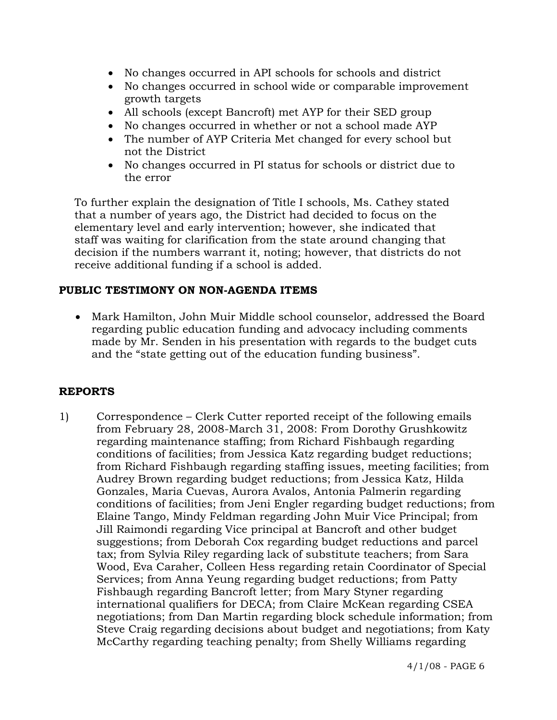- No changes occurred in API schools for schools and district
- No changes occurred in school wide or comparable improvement growth targets
- All schools (except Bancroft) met AYP for their SED group
- No changes occurred in whether or not a school made AYP
- The number of AYP Criteria Met changed for every school but not the District
- No changes occurred in PI status for schools or district due to the error

 To further explain the designation of Title I schools, Ms. Cathey stated that a number of years ago, the District had decided to focus on the elementary level and early intervention; however, she indicated that staff was waiting for clarification from the state around changing that decision if the numbers warrant it, noting; however, that districts do not receive additional funding if a school is added.

# **PUBLIC TESTIMONY ON NON-AGENDA ITEMS**

• Mark Hamilton, John Muir Middle school counselor, addressed the Board regarding public education funding and advocacy including comments made by Mr. Senden in his presentation with regards to the budget cuts and the "state getting out of the education funding business".

# **REPORTS**

1) Correspondence – Clerk Cutter reported receipt of the following emails from February 28, 2008-March 31, 2008: From Dorothy Grushkowitz regarding maintenance staffing; from Richard Fishbaugh regarding conditions of facilities; from Jessica Katz regarding budget reductions; from Richard Fishbaugh regarding staffing issues, meeting facilities; from Audrey Brown regarding budget reductions; from Jessica Katz, Hilda Gonzales, Maria Cuevas, Aurora Avalos, Antonia Palmerin regarding conditions of facilities; from Jeni Engler regarding budget reductions; from Elaine Tango, Mindy Feldman regarding John Muir Vice Principal; from Jill Raimondi regarding Vice principal at Bancroft and other budget suggestions; from Deborah Cox regarding budget reductions and parcel tax; from Sylvia Riley regarding lack of substitute teachers; from Sara Wood, Eva Caraher, Colleen Hess regarding retain Coordinator of Special Services; from Anna Yeung regarding budget reductions; from Patty Fishbaugh regarding Bancroft letter; from Mary Styner regarding international qualifiers for DECA; from Claire McKean regarding CSEA negotiations; from Dan Martin regarding block schedule information; from Steve Craig regarding decisions about budget and negotiations; from Katy McCarthy regarding teaching penalty; from Shelly Williams regarding

4/1/08 - PAGE 6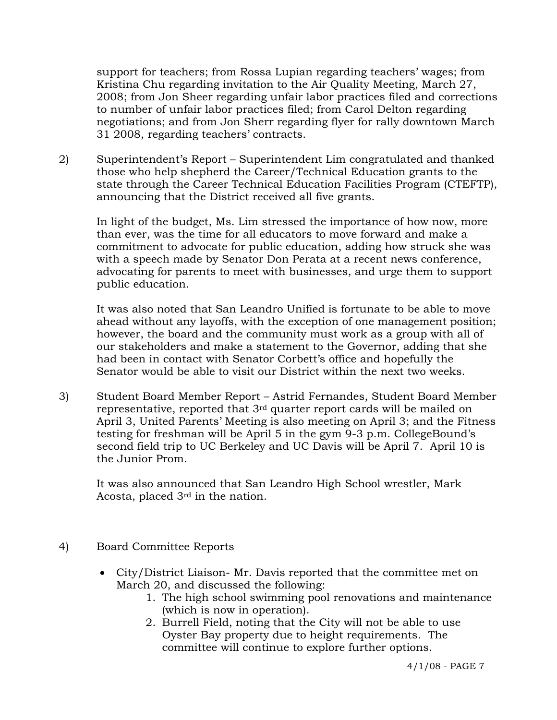support for teachers; from Rossa Lupian regarding teachers' wages; from Kristina Chu regarding invitation to the Air Quality Meeting, March 27, 2008; from Jon Sheer regarding unfair labor practices filed and corrections to number of unfair labor practices filed; from Carol Delton regarding negotiations; and from Jon Sherr regarding flyer for rally downtown March 31 2008, regarding teachers' contracts.

2) Superintendent's Report – Superintendent Lim congratulated and thanked those who help shepherd the Career/Technical Education grants to the state through the Career Technical Education Facilities Program (CTEFTP), announcing that the District received all five grants.

In light of the budget, Ms. Lim stressed the importance of how now, more than ever, was the time for all educators to move forward and make a commitment to advocate for public education, adding how struck she was with a speech made by Senator Don Perata at a recent news conference, advocating for parents to meet with businesses, and urge them to support public education.

It was also noted that San Leandro Unified is fortunate to be able to move ahead without any layoffs, with the exception of one management position; however, the board and the community must work as a group with all of our stakeholders and make a statement to the Governor, adding that she had been in contact with Senator Corbett's office and hopefully the Senator would be able to visit our District within the next two weeks.

3) Student Board Member Report – Astrid Fernandes, Student Board Member representative, reported that 3rd quarter report cards will be mailed on April 3, United Parents' Meeting is also meeting on April 3; and the Fitness testing for freshman will be April 5 in the gym 9-3 p.m. CollegeBound's second field trip to UC Berkeley and UC Davis will be April 7. April 10 is the Junior Prom.

It was also announced that San Leandro High School wrestler, Mark Acosta, placed 3rd in the nation.

- 4) Board Committee Reports
	- City/District Liaison- Mr. Davis reported that the committee met on March 20, and discussed the following:
		- 1. The high school swimming pool renovations and maintenance (which is now in operation).
		- 2. Burrell Field, noting that the City will not be able to use Oyster Bay property due to height requirements. The committee will continue to explore further options.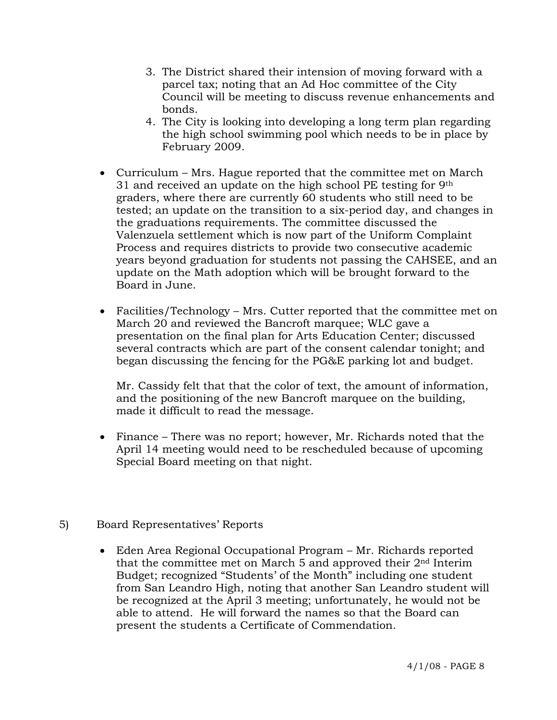- 3. The District shared their intension of moving forward with a parcel tax; noting that an Ad Hoc committee of the City Council will be meeting to discuss revenue enhancements and bonds.
- 4. The City is looking into developing a long term plan regarding the high school swimming pool which needs to be in place by February 2009.
- Curriculum Mrs. Hague reported that the committee met on March 31 and received an update on the high school PE testing for 9th graders, where there are currently 60 students who still need to be tested; an update on the transition to a six-period day, and changes in the graduations requirements. The committee discussed the Valenzuela settlement which is now part of the Uniform Complaint Process and requires districts to provide two consecutive academic years beyond graduation for students not passing the CAHSEE, and an update on the Math adoption which will be brought forward to the Board in June.
- Facilities/Technology Mrs. Cutter reported that the committee met on March 20 and reviewed the Bancroft marquee; WLC gave a presentation on the final plan for Arts Education Center; discussed several contracts which are part of the consent calendar tonight; and began discussing the fencing for the PG&E parking lot and budget.

Mr. Cassidy felt that that the color of text, the amount of information, and the positioning of the new Bancroft marquee on the building, made it difficult to read the message.

- Finance There was no report; however, Mr. Richards noted that the April 14 meeting would need to be rescheduled because of upcoming Special Board meeting on that night.
- 5) Board Representatives' Reports
	- Eden Area Regional Occupational Program Mr. Richards reported that the committee met on March 5 and approved their 2nd Interim Budget; recognized "Students' of the Month" including one student from San Leandro High, noting that another San Leandro student will be recognized at the April 3 meeting; unfortunately, he would not be able to attend. He will forward the names so that the Board can present the students a Certificate of Commendation.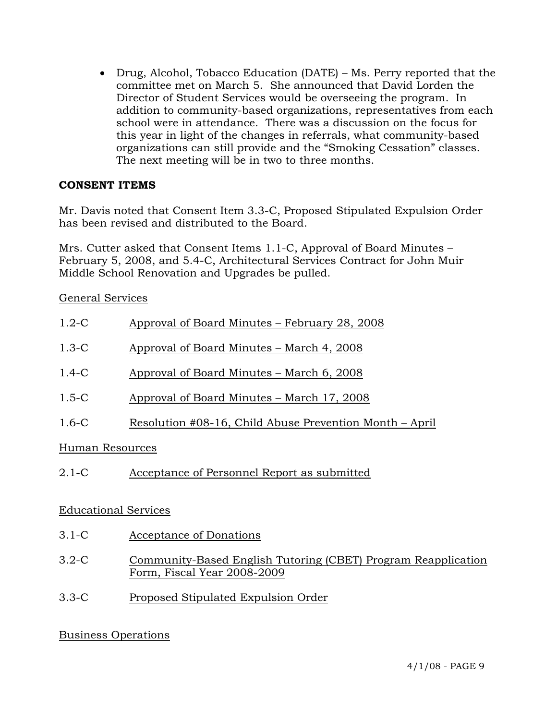• Drug, Alcohol, Tobacco Education (DATE) – Ms. Perry reported that the committee met on March 5. She announced that David Lorden the Director of Student Services would be overseeing the program. In addition to community-based organizations, representatives from each school were in attendance. There was a discussion on the focus for this year in light of the changes in referrals, what community-based organizations can still provide and the "Smoking Cessation" classes. The next meeting will be in two to three months.

# **CONSENT ITEMS**

Mr. Davis noted that Consent Item 3.3-C, Proposed Stipulated Expulsion Order has been revised and distributed to the Board.

Mrs. Cutter asked that Consent Items 1.1-C, Approval of Board Minutes – February 5, 2008, and 5.4-C, Architectural Services Contract for John Muir Middle School Renovation and Upgrades be pulled.

General Services

| $1.2-C$         | Approval of Board Minutes – February 28, 2008           |
|-----------------|---------------------------------------------------------|
| $1.3-C$         | Approval of Board Minutes – March 4, 2008               |
| $1.4-C$         | Approval of Board Minutes – March 6, 2008               |
| $1.5 - C$       | Approval of Board Minutes – March 17, 2008              |
| $1.6 - C$       | Resolution #08-16, Child Abuse Prevention Month – April |
| Human Resources |                                                         |
| $2.1 - C$       | Acceptance of Personnel Report as submitted             |

# Educational Services

- 3.1-C Acceptance of Donations
- 3.2-C Community-Based English Tutoring (CBET) Program Reapplication Form, Fiscal Year 2008-2009
- 3.3-C Proposed Stipulated Expulsion Order

# Business Operations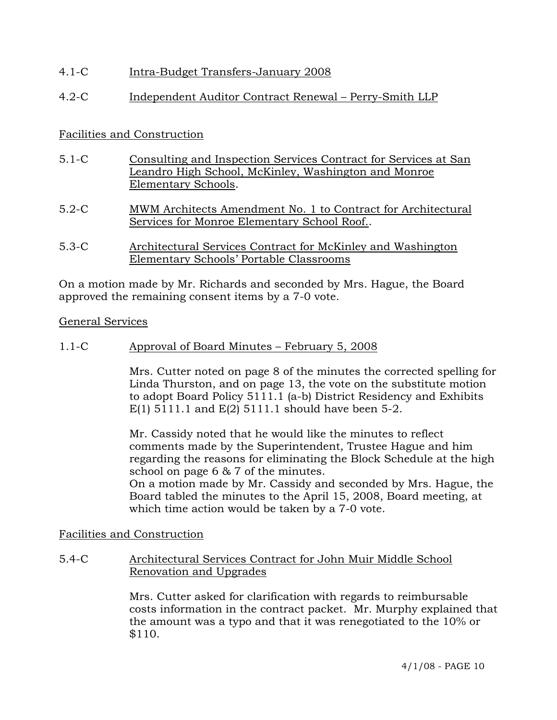## 4.1-C Intra-Budget Transfers-January 2008

# 4.2-C Independent Auditor Contract Renewal – Perry-Smith LLP

## Facilities and Construction

- 5.1-C Consulting and Inspection Services Contract for Services at San Leandro High School, McKinley, Washington and Monroe Elementary Schools.
- 5.2-C MWM Architects Amendment No. 1 to Contract for Architectural Services for Monroe Elementary School Roof..
- 5.3-C Architectural Services Contract for McKinley and Washington Elementary Schools' Portable Classrooms

On a motion made by Mr. Richards and seconded by Mrs. Hague, the Board approved the remaining consent items by a 7-0 vote.

#### General Services

1.1-C Approval of Board Minutes – February 5, 2008

Mrs. Cutter noted on page 8 of the minutes the corrected spelling for Linda Thurston, and on page 13, the vote on the substitute motion to adopt Board Policy 5111.1 (a-b) District Residency and Exhibits E(1) 5111.1 and E(2) 5111.1 should have been 5-2.

Mr. Cassidy noted that he would like the minutes to reflect comments made by the Superintendent, Trustee Hague and him regarding the reasons for eliminating the Block Schedule at the high school on page 6 & 7 of the minutes.

On a motion made by Mr. Cassidy and seconded by Mrs. Hague, the Board tabled the minutes to the April 15, 2008, Board meeting, at which time action would be taken by a 7-0 vote.

#### Facilities and Construction

5.4-C Architectural Services Contract for John Muir Middle School Renovation and Upgrades

> Mrs. Cutter asked for clarification with regards to reimbursable costs information in the contract packet. Mr. Murphy explained that the amount was a typo and that it was renegotiated to the 10% or \$110.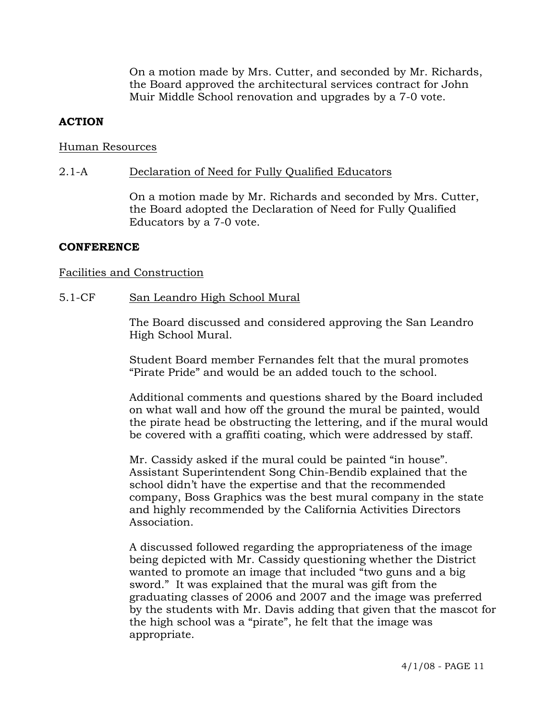On a motion made by Mrs. Cutter, and seconded by Mr. Richards, the Board approved the architectural services contract for John Muir Middle School renovation and upgrades by a 7-0 vote.

## **ACTION**

#### Human Resources

#### 2.1-A Declaration of Need for Fully Qualified Educators

On a motion made by Mr. Richards and seconded by Mrs. Cutter, the Board adopted the Declaration of Need for Fully Qualified Educators by a 7-0 vote.

### **CONFERENCE**

### Facilities and Construction

5.1-CF San Leandro High School Mural

The Board discussed and considered approving the San Leandro High School Mural.

Student Board member Fernandes felt that the mural promotes "Pirate Pride" and would be an added touch to the school.

Additional comments and questions shared by the Board included on what wall and how off the ground the mural be painted, would the pirate head be obstructing the lettering, and if the mural would be covered with a graffiti coating, which were addressed by staff.

Mr. Cassidy asked if the mural could be painted "in house". Assistant Superintendent Song Chin-Bendib explained that the school didn't have the expertise and that the recommended company, Boss Graphics was the best mural company in the state and highly recommended by the California Activities Directors Association.

A discussed followed regarding the appropriateness of the image being depicted with Mr. Cassidy questioning whether the District wanted to promote an image that included "two guns and a big sword." It was explained that the mural was gift from the graduating classes of 2006 and 2007 and the image was preferred by the students with Mr. Davis adding that given that the mascot for the high school was a "pirate", he felt that the image was appropriate.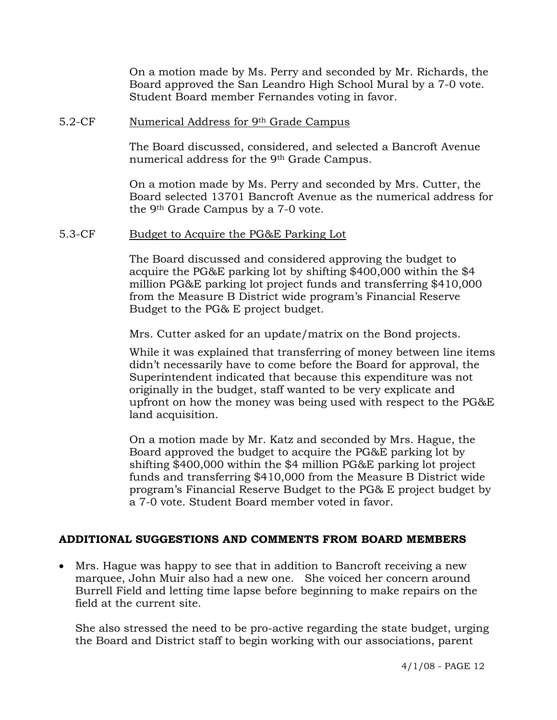On a motion made by Ms. Perry and seconded by Mr. Richards, the Board approved the San Leandro High School Mural by a 7-0 vote. Student Board member Fernandes voting in favor.

#### 5.2-CF Numerical Address for 9th Grade Campus

The Board discussed, considered, and selected a Bancroft Avenue numerical address for the 9<sup>th</sup> Grade Campus.

On a motion made by Ms. Perry and seconded by Mrs. Cutter, the Board selected 13701 Bancroft Avenue as the numerical address for the 9th Grade Campus by a 7-0 vote.

#### 5.3-CF Budget to Acquire the PG&E Parking Lot

The Board discussed and considered approving the budget to acquire the PG&E parking lot by shifting \$400,000 within the \$4 million PG&E parking lot project funds and transferring \$410,000 from the Measure B District wide program's Financial Reserve Budget to the PG& E project budget.

Mrs. Cutter asked for an update/matrix on the Bond projects.

While it was explained that transferring of money between line items didn't necessarily have to come before the Board for approval, the Superintendent indicated that because this expenditure was not originally in the budget, staff wanted to be very explicate and upfront on how the money was being used with respect to the PG&E land acquisition.

On a motion made by Mr. Katz and seconded by Mrs. Hague, the Board approved the budget to acquire the PG&E parking lot by shifting \$400,000 within the \$4 million PG&E parking lot project funds and transferring \$410,000 from the Measure B District wide program's Financial Reserve Budget to the PG& E project budget by a 7-0 vote. Student Board member voted in favor.

## **ADDITIONAL SUGGESTIONS AND COMMENTS FROM BOARD MEMBERS**

• Mrs. Hague was happy to see that in addition to Bancroft receiving a new marquee, John Muir also had a new one. She voiced her concern around Burrell Field and letting time lapse before beginning to make repairs on the field at the current site.

She also stressed the need to be pro-active regarding the state budget, urging the Board and District staff to begin working with our associations, parent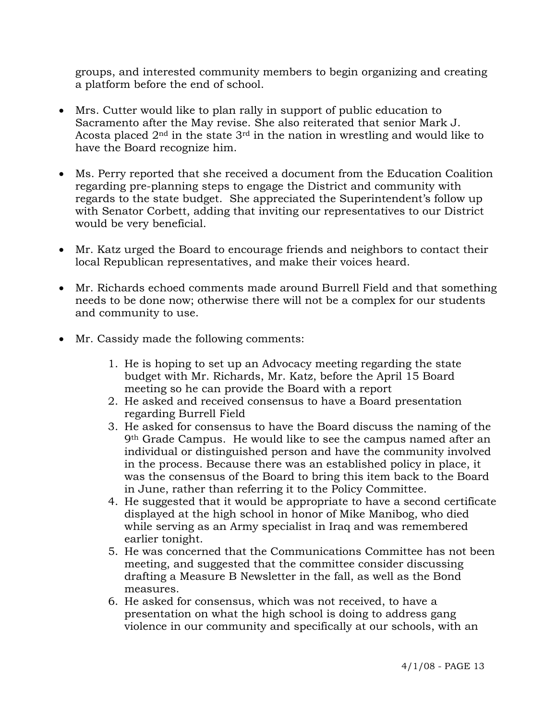groups, and interested community members to begin organizing and creating a platform before the end of school.

- Mrs. Cutter would like to plan rally in support of public education to Sacramento after the May revise. She also reiterated that senior Mark J. Acosta placed 2nd in the state 3rd in the nation in wrestling and would like to have the Board recognize him.
- Ms. Perry reported that she received a document from the Education Coalition regarding pre-planning steps to engage the District and community with regards to the state budget. She appreciated the Superintendent's follow up with Senator Corbett, adding that inviting our representatives to our District would be very beneficial.
- Mr. Katz urged the Board to encourage friends and neighbors to contact their local Republican representatives, and make their voices heard.
- Mr. Richards echoed comments made around Burrell Field and that something needs to be done now; otherwise there will not be a complex for our students and community to use.
- Mr. Cassidy made the following comments:
	- 1. He is hoping to set up an Advocacy meeting regarding the state budget with Mr. Richards, Mr. Katz, before the April 15 Board meeting so he can provide the Board with a report
	- 2. He asked and received consensus to have a Board presentation regarding Burrell Field
	- 3. He asked for consensus to have the Board discuss the naming of the 9th Grade Campus. He would like to see the campus named after an individual or distinguished person and have the community involved in the process. Because there was an established policy in place, it was the consensus of the Board to bring this item back to the Board in June, rather than referring it to the Policy Committee.
	- 4. He suggested that it would be appropriate to have a second certificate displayed at the high school in honor of Mike Manibog, who died while serving as an Army specialist in Iraq and was remembered earlier tonight.
	- 5. He was concerned that the Communications Committee has not been meeting, and suggested that the committee consider discussing drafting a Measure B Newsletter in the fall, as well as the Bond measures.
	- 6. He asked for consensus, which was not received, to have a presentation on what the high school is doing to address gang violence in our community and specifically at our schools, with an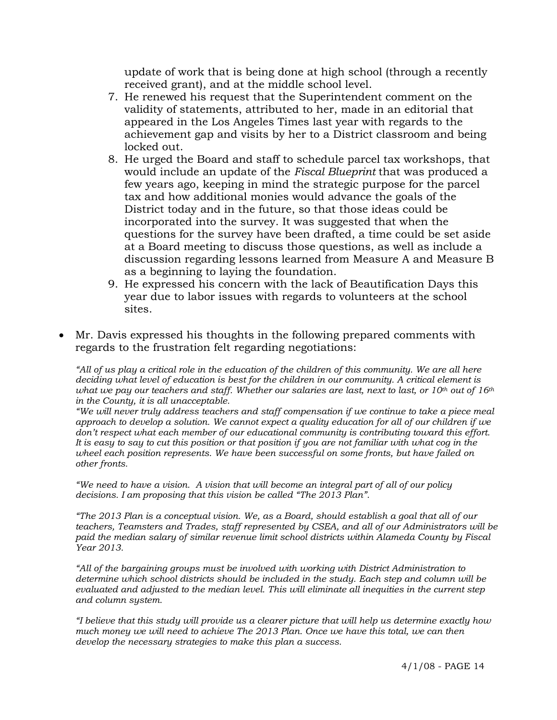update of work that is being done at high school (through a recently received grant), and at the middle school level.

- 7. He renewed his request that the Superintendent comment on the validity of statements, attributed to her, made in an editorial that appeared in the Los Angeles Times last year with regards to the achievement gap and visits by her to a District classroom and being locked out.
- 8. He urged the Board and staff to schedule parcel tax workshops, that would include an update of the *Fiscal Blueprint* that was produced a few years ago, keeping in mind the strategic purpose for the parcel tax and how additional monies would advance the goals of the District today and in the future, so that those ideas could be incorporated into the survey. It was suggested that when the questions for the survey have been drafted, a time could be set aside at a Board meeting to discuss those questions, as well as include a discussion regarding lessons learned from Measure A and Measure B as a beginning to laying the foundation.
- 9. He expressed his concern with the lack of Beautification Days this year due to labor issues with regards to volunteers at the school sites.
- Mr. Davis expressed his thoughts in the following prepared comments with regards to the frustration felt regarding negotiations:

*"All of us play a critical role in the education of the children of this community. We are all here deciding what level of education is best for the children in our community. A critical element is what we pay our teachers and staff. Whether our salaries are last, next to last, or 10th out of 16th in the County, it is all unacceptable.* 

*"We will never truly address teachers and staff compensation if we continue to take a piece meal approach to develop a solution. We cannot expect a quality education for all of our children if we don't respect what each member of our educational community is contributing toward this effort. It is easy to say to cut this position or that position if you are not familiar with what cog in the wheel each position represents. We have been successful on some fronts, but have failed on other fronts.* 

*"We need to have a vision. A vision that will become an integral part of all of our policy decisions. I am proposing that this vision be called "The 2013 Plan".* 

*"The 2013 Plan is a conceptual vision. We, as a Board, should establish a goal that all of our teachers, Teamsters and Trades, staff represented by CSEA, and all of our Administrators will be paid the median salary of similar revenue limit school districts within Alameda County by Fiscal Year 2013.* 

*"All of the bargaining groups must be involved with working with District Administration to determine which school districts should be included in the study. Each step and column will be evaluated and adjusted to the median level. This will eliminate all inequities in the current step and column system.* 

*"I believe that this study will provide us a clearer picture that will help us determine exactly how much money we will need to achieve The 2013 Plan. Once we have this total, we can then develop the necessary strategies to make this plan a success.*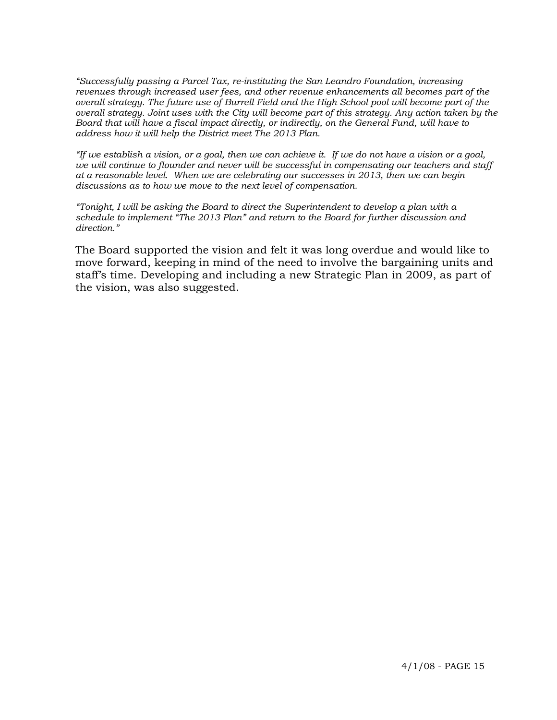*"Successfully passing a Parcel Tax, re-instituting the San Leandro Foundation, increasing revenues through increased user fees, and other revenue enhancements all becomes part of the overall strategy. The future use of Burrell Field and the High School pool will become part of the overall strategy. Joint uses with the City will become part of this strategy. Any action taken by the Board that will have a fiscal impact directly, or indirectly, on the General Fund, will have to address how it will help the District meet The 2013 Plan.* 

*"If we establish a vision, or a goal, then we can achieve it. If we do not have a vision or a goal, we will continue to flounder and never will be successful in compensating our teachers and staff at a reasonable level. When we are celebrating our successes in 2013, then we can begin discussions as to how we move to the next level of compensation.* 

*"Tonight, I will be asking the Board to direct the Superintendent to develop a plan with a schedule to implement "The 2013 Plan" and return to the Board for further discussion and direction."* 

The Board supported the vision and felt it was long overdue and would like to move forward, keeping in mind of the need to involve the bargaining units and staff's time. Developing and including a new Strategic Plan in 2009, as part of the vision, was also suggested.